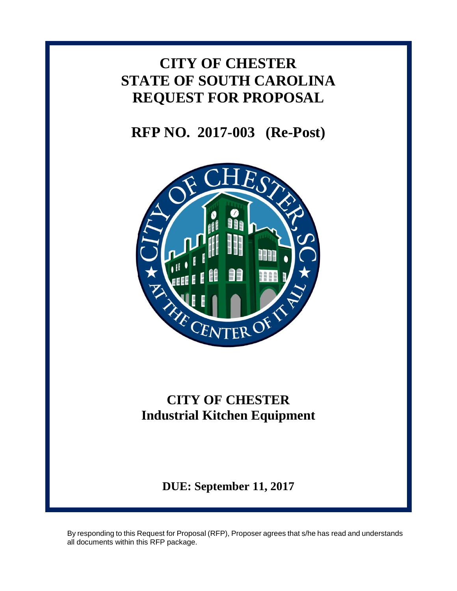# **CITY OF CHESTER STATE OF SOUTH CAROLINA REQUEST FOR PROPOSAL**

**RFP NO. 2017-003 (Re-Post)**



# **CITY OF CHESTER Industrial Kitchen Equipment**

**DUE: September 11, 2017**

By responding to this Request for Proposal (RFP), Proposer agrees that s/he has read and understands all documents within this RFP package.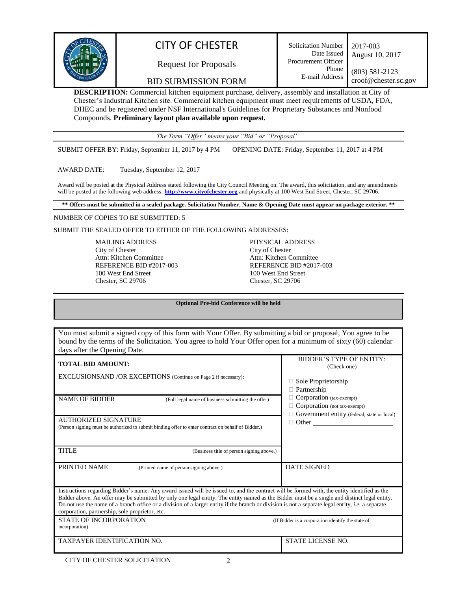

# CITY OF CHESTER

Request for Proposals

BID SUBMISSION FORM

**DESCRIPTION:** Commercial kitchen equipment purchase, delivery, assembly and installation at City of Chester's Industrial Kitchen site. Commercial kitchen equipment must meet requirements of USDA, FDA, DHEC and be registered under NSF International's Guidelines for Proprietary Substances and Nonfood Compounds. **Preliminary layout plan available upon request.**

*The Term "Offer" means your "Bid" or "Proposal".*

SUBMIT OFFER BY: Friday, September 11, 2017 by 4 PM OPENING DATE: Friday, September 11, 2017 at 4 PM

AWARD DATE: Tuesday, September 12, 2017

Award will be posted at the Physical Address stated following the City Council Meeting on. The award, this solicitation, and any amendments will be posted at the following web address: **[http://www.cityofchester.org](http://www.cityofchester.org/)** and physically at 100 West End Street, Chester, SC 29706.

**\*\* Offers must be submitted in a sealed package. Solicitation Number, Name & Opening Date must appear on package exterior. \*\***

#### NUMBER OF COPIES TO BE SUBMITTED: 5

SUBMIT THE SEALED OFFER TO EITHER OF THE FOLLOWING ADDRESSES:

MAILING ADDRESS City of Chester Attn: Kitchen Committee REFERENCE BID #2017-003 100 West End Street Chester, SC 29706

PHYSICAL ADDRESS City of Chester Attn: Kitchen Committee REFERENCE BID #2017-003 100 West End Street Chester, SC 29706

**Optional Pre-bid Conference will be held**

| You must submit a signed copy of this form with Your Offer. By submitting a bid or proposal, You agree to be<br>bound by the terms of the Solicitation. You agree to hold Your Offer open for a minimum of sixty (60) calendar<br>days after the Opening Date.                                                                                                                                                                                                                                              |                                                                                                                         |  |  |  |
|-------------------------------------------------------------------------------------------------------------------------------------------------------------------------------------------------------------------------------------------------------------------------------------------------------------------------------------------------------------------------------------------------------------------------------------------------------------------------------------------------------------|-------------------------------------------------------------------------------------------------------------------------|--|--|--|
| <b>TOTAL BID AMOUNT:</b><br><b>EXCLUSIONSAND/OR EXCEPTIONS</b> (Continue on Page 2 if necessary):                                                                                                                                                                                                                                                                                                                                                                                                           | <b>BIDDER'S TYPE OF ENTITY:</b><br>(Check one)<br>Sole Proprietorship<br>Partnership                                    |  |  |  |
| <b>NAME OF BIDDER</b><br>(Full legal name of business submitting the offer)<br><b>AUTHORIZED SIGNATURE</b><br>(Person signing must be authorized to submit binding offer to enter contract on behalf of Bidder.)                                                                                                                                                                                                                                                                                            | Corporation (tax-exempt)<br>Corporation (not tax-exempt)<br>Government entity (federal, state or local)<br>$\Box$ Other |  |  |  |
| <b>TITLE</b><br>(Business title of person signing above.)                                                                                                                                                                                                                                                                                                                                                                                                                                                   |                                                                                                                         |  |  |  |
| PRINTED NAME<br>(Printed name of person signing above.)                                                                                                                                                                                                                                                                                                                                                                                                                                                     | <b>DATE SIGNED</b>                                                                                                      |  |  |  |
| Instructions regarding Bidder's name: Any award issued will be issued to, and the contract will be formed with, the entity identified as the<br>Bidder above. An offer may be submitted by only one legal entity. The entity named as the Bidder must be a single and distinct legal entity.<br>Do not use the name of a branch office or a division of a larger entity if the branch or division is not a separate legal entity, <i>i.e.</i> a separate<br>corporation, partnership, sole proprietor, etc. |                                                                                                                         |  |  |  |
| STATE OF INCORPORATION<br>incorporation)                                                                                                                                                                                                                                                                                                                                                                                                                                                                    | (If Bidder is a corporation identify the state of                                                                       |  |  |  |
| <b>TAXPAYER IDENTIFICATION NO.</b>                                                                                                                                                                                                                                                                                                                                                                                                                                                                          | <b>STATE LICENSE NO.</b>                                                                                                |  |  |  |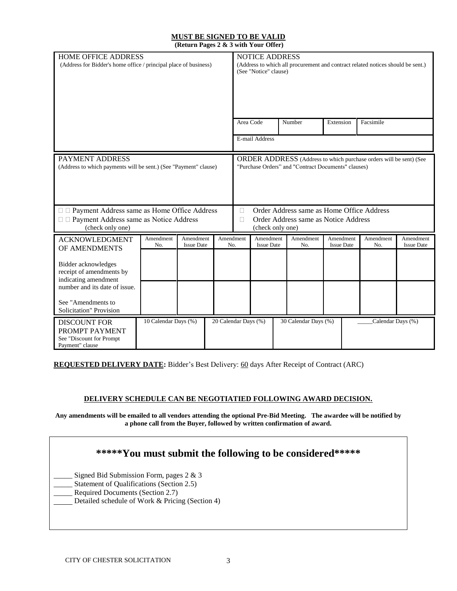#### **MUST BE SIGNED TO BE VALID (Return Pages 2 & 3 with Your Offer)**

| <b>HOME OFFICE ADDRESS</b><br>(Address for Bidder's home office / principal place of business)                                       |                      | <b>NOTICE ADDRESS</b><br>(Address to which all procurement and contract related notices should be sent.)<br>(See "Notice" clause)                                      |                      |             |                                |  |                                      |                                |  |                   |                                |
|--------------------------------------------------------------------------------------------------------------------------------------|----------------------|------------------------------------------------------------------------------------------------------------------------------------------------------------------------|----------------------|-------------|--------------------------------|--|--------------------------------------|--------------------------------|--|-------------------|--------------------------------|
|                                                                                                                                      |                      |                                                                                                                                                                        |                      |             | Area Code                      |  | Number                               | Extension                      |  | Facsimile         |                                |
|                                                                                                                                      |                      |                                                                                                                                                                        |                      |             | E-mail Address                 |  |                                      |                                |  |                   |                                |
| PAYMENT ADDRESS<br>(Address to which payments will be sent.) (See "Payment" clause)<br>□ Payment Address same as Home Office Address |                      | ORDER ADDRESS (Address to which purchase orders will be sent) (See<br>"Purchase Orders" and "Contract Documents" clauses)<br>Order Address same as Home Office Address |                      |             |                                |  |                                      |                                |  |                   |                                |
| □ □ Payment Address same as Notice Address<br>(check only one)                                                                       |                      |                                                                                                                                                                        |                      | $\Box$<br>П | (check only one)               |  | Order Address same as Notice Address |                                |  |                   |                                |
| <b>ACKNOWLEDGMENT</b><br>OF AMENDMENTS                                                                                               | Amendment<br>No.     | Amendment<br><b>Issue Date</b>                                                                                                                                         | Amendment<br>No.     |             | Amendment<br><b>Issue Date</b> |  | Amendment<br>No.                     | Amendment<br><b>Issue Date</b> |  | Amendment<br>No.  | Amendment<br><b>Issue Date</b> |
| Bidder acknowledges<br>receipt of amendments by<br>indicating amendment<br>number and its date of issue.                             |                      |                                                                                                                                                                        |                      |             |                                |  |                                      |                                |  |                   |                                |
| See "Amendments to<br>Solicitation" Provision                                                                                        |                      |                                                                                                                                                                        |                      |             |                                |  |                                      |                                |  |                   |                                |
| <b>DISCOUNT FOR</b><br>PROMPT PAYMENT<br>See "Discount for Prompt<br>Payment" clause                                                 | 10 Calendar Days (%) |                                                                                                                                                                        | 20 Calendar Days (%) |             |                                |  | 30 Calendar Days (%)                 |                                |  | Calendar Days (%) |                                |

**REQUESTED DELIVERY DATE:** Bidder's Best Delivery: 60 days After Receipt of Contract (ARC)

#### **DELIVERY SCHEDULE CAN BE NEGOTIATIED FOLLOWING AWARD DECISION.**

**Any amendments will be emailed to all vendors attending the optional Pre-Bid Meeting. The awardee will be notified by a phone call from the Buyer, followed by written confirmation of award.**

## **\*\*\*\*\*You must submit the following to be considered\*\*\*\*\***

Signed Bid Submission Form, pages 2 & 3

Statement of Qualifications (Section 2.5)

- Required Documents (Section 2.7)
- Detailed schedule of Work & Pricing (Section 4)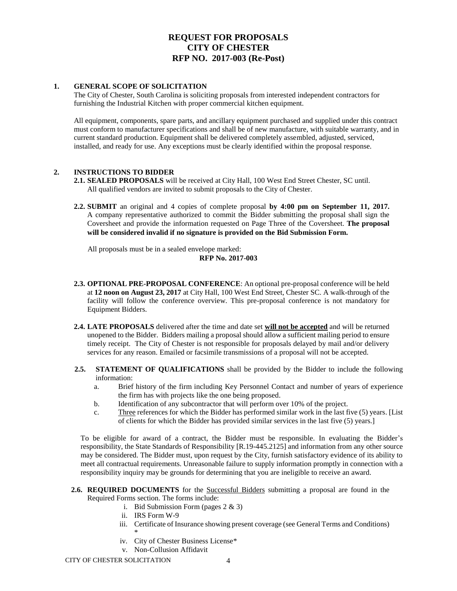## **REQUEST FOR PROPOSALS CITY OF CHESTER RFP NO. 2017-003 (Re-Post)**

#### **1. GENERAL SCOPE OF SOLICITATION**

The City of Chester, South Carolina is soliciting proposals from interested independent contractors for furnishing the Industrial Kitchen with proper commercial kitchen equipment.

All equipment, components, spare parts, and ancillary equipment purchased and supplied under this contract must conform to manufacturer specifications and shall be of new manufacture, with suitable warranty, and in current standard production. Equipment shall be delivered completely assembled, adjusted, serviced, installed, and ready for use. Any exceptions must be clearly identified within the proposal response.

#### **2. INSTRUCTIONS TO BIDDER**

- **2.1. SEALED PROPOSALS** will be received at City Hall, 100 West End Street Chester, SC until. All qualified vendors are invited to submit proposals to the City of Chester.
- **2.2. SUBMIT** an original and 4 copies of complete proposal **by 4:00 pm on September 11, 2017.**  A company representative authorized to commit the Bidder submitting the proposal shall sign the Coversheet and provide the information requested on Page Three of the Coversheet. **The proposal will be considered invalid if no signature is provided on the Bid Submission Form.**

All proposals must be in a sealed envelope marked:

#### **RFP No. 2017-003**

- **2.3. OPTIONAL PRE-PROPOSAL CONFERENCE**: An optional pre-proposal conference will be held at **12 noon on August 23, 2017** at City Hall, 100 West End Street, Chester SC. A walk-through of the facility will follow the conference overview. This pre-proposal conference is not mandatory for Equipment Bidders.
- **2.4. LATE PROPOSALS** delivered after the time and date set **will not be accepted** and will be returned unopened to the Bidder. Bidders mailing a proposal should allow a sufficient mailing period to ensure timely receipt. The City of Chester is not responsible for proposals delayed by mail and/or delivery services for any reason. Emailed or facsimile transmissions of a proposal will not be accepted.
- **2.5. STATEMENT OF QUALIFICATIONS** shall be provided by the Bidder to include the following information:
	- a. Brief history of the firm including Key Personnel Contact and number of years of experience the firm has with projects like the one being proposed.
	- b. Identification of any subcontractor that will perform over 10% of the project.
	- c. Three references for which the Bidder has performed similar work in the last five (5) years. [List of clients for which the Bidder has provided similar services in the last five (5) years.]

To be eligible for award of a contract, the Bidder must be responsible. In evaluating the Bidder's responsibility, the State Standards of Responsibility [R.19-445.2125] and information from any other source may be considered. The Bidder must, upon request by the City, furnish satisfactory evidence of its ability to meet all contractual requirements. Unreasonable failure to supply information promptly in connection with a responsibility inquiry may be grounds for determining that you are ineligible to receive an award.

- **2.6. REQUIRED DOCUMENTS** for the Successful Bidders submitting a proposal are found in the Required Forms section. The forms include:
	- i. Bid Submission Form (pages 2 & 3)
	- ii. IRS Form W-9
	- iii. Certificate of Insurance showing present coverage (see General Terms and Conditions) \*
	- iv. City of Chester Business License\*
	- v. Non-Collusion Affidavit

CITY OF CHESTER SOLICITATION 4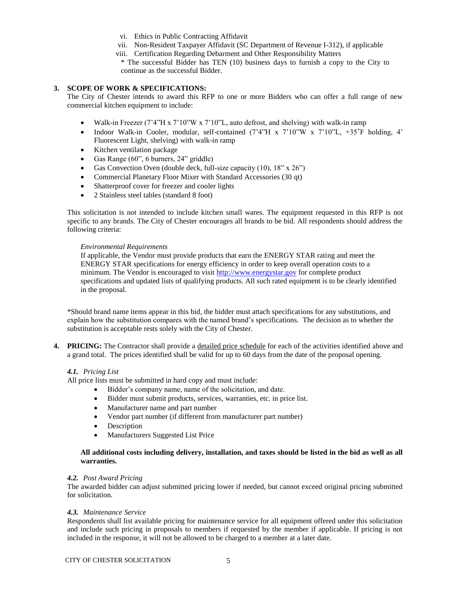- vi. Ethics in Public Contracting Affidavit
- vii. Non-Resident Taxpayer Affidavit (SC Department of Revenue I-312), if applicable
- viii. Certification Regarding Debarment and Other Responsibility Matters

\* The successful Bidder has TEN (10) business days to furnish a copy to the City to continue as the successful Bidder.

#### **3. SCOPE OF WORK & SPECIFICATIONS:**

The City of Chester intends to award this RFP to one or more Bidders who can offer a full range of new commercial kitchen equipment to include:

- Walk-in Freezer (7'4"H x 7'10"W x 7'10"L, auto defrost, and shelving) with walk-in ramp
- Indoor Walk-in Cooler, modular, self-contained (7'4"H x 7'10"W x 7'10"L, +35**˚**F holding, 4' Fluorescent Light, shelving) with walk-in ramp
- Kitchen ventilation package
- Gas Range (60", 6 burners, 24" griddle)
- Gas Convection Oven (double deck, full-size capacity  $(10)$ ,  $18"$  x  $26"$ )
- Commercial Planetary Floor Mixer with Standard Accessories (30 qt)
- Shatterproof cover for freezer and cooler lights
- 2 Stainless steel tables (standard 8 foot)

This solicitation is not intended to include kitchen small wares. The equipment requested in this RFP is not specific to any brands. The City of Chester encourages all brands to be bid. All respondents should address the following criteria:

#### *Environmental Requirements*

If applicable, the Vendor must provide products that earn the ENERGY STAR rating and meet the ENERGY STAR specifications for energy efficiency in order to keep overall operation costs to a minimum. The Vendor is encouraged to visit [http://www.energystar.gov](http://www.energystar.gov/) for complete product specifications and updated lists of qualifying products. All such rated equipment is to be clearly identified in the proposal.

\*Should brand name items appear in this bid, the bidder must attach specifications for any substitutions, and explain how the substitution compares with the named brand's specifications. The decision as to whether the substitution is acceptable rests solely with the City of Chester.

**4. PRICING:** The Contractor shall provide a detailed price schedule for each of the activities identified above and a grand total. The prices identified shall be valid for up to 60 days from the date of the proposal opening.

#### *4.1. Pricing List*

All price lists must be submitted in hard copy and must include:

- Bidder's company name, name of the solicitation, and date.
- Bidder must submit products, services, warranties, etc. in price list.
- Manufacturer name and part number
- Vendor part number (if different from manufacturer part number)
- Description
- Manufacturers Suggested List Price

#### **All additional costs including delivery, installation, and taxes should be listed in the bid as well as all warranties.**

#### *4.2. Post Award Pricing*

The awarded bidder can adjust submitted pricing lower if needed, but cannot exceed original pricing submitted for solicitation.

#### *4.3. Maintenance Service*

Respondents shall list available pricing for maintenance service for all equipment offered under this solicitation and include such pricing in proposals to members if requested by the member if applicable. If pricing is not included in the response, it will not be allowed to be charged to a member at a later date.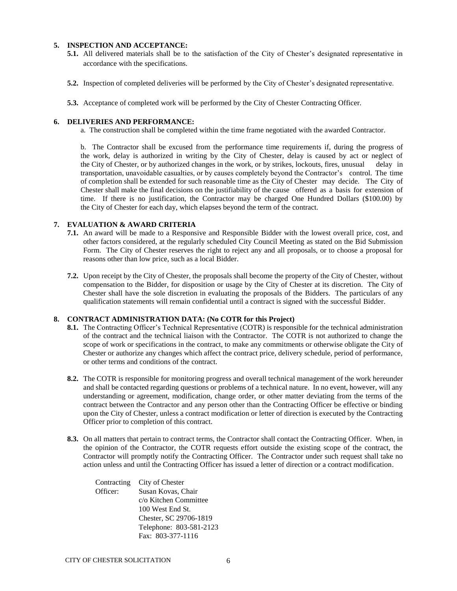#### **5. INSPECTION AND ACCEPTANCE:**

- **5.1.** All delivered materials shall be to the satisfaction of the City of Chester's designated representative in accordance with the specifications.
- **5.2.** Inspection of completed deliveries will be performed by the City of Chester's designated representative.
- **5.3.** Acceptance of completed work will be performed by the City of Chester Contracting Officer.

#### **6. DELIVERIES AND PERFORMANCE:**

a. The construction shall be completed within the time frame negotiated with the awarded Contractor.

b. The Contractor shall be excused from the performance time requirements if, during the progress of the work, delay is authorized in writing by the City of Chester, delay is caused by act or neglect of the City of Chester, or by authorized changes in the work, or by strikes, lockouts, fires, unusual delay in transportation, unavoidable casualties, or by causes completely beyond the Contractor's control. The time of completion shall be extended for such reasonable time as the City of Chester may decide. The City of Chester shall make the final decisions on the justifiability of the cause offered as a basis for extension of time. If there is no justification, the Contractor may be charged One Hundred Dollars (\$100.00) by the City of Chester for each day, which elapses beyond the term of the contract.

#### **7. EVALUATION & AWARD CRITERIA**

- **7.1.** An award will be made to a Responsive and Responsible Bidder with the lowest overall price, cost, and other factors considered, at the regularly scheduled City Council Meeting as stated on the Bid Submission Form. The City of Chester reserves the right to reject any and all proposals, or to choose a proposal for reasons other than low price, such as a local Bidder.
- **7.2.** Upon receipt by the City of Chester, the proposals shall become the property of the City of Chester, without compensation to the Bidder, for disposition or usage by the City of Chester at its discretion. The City of Chester shall have the sole discretion in evaluating the proposals of the Bidders. The particulars of any qualification statements will remain confidential until a contract is signed with the successful Bidder.

#### **8. CONTRACT ADMINISTRATION DATA: (No COTR for this Project)**

- **8.1.** The Contracting Officer's Technical Representative (COTR) is responsible for the technical administration of the contract and the technical liaison with the Contractor. The COTR is not authorized to change the scope of work or specifications in the contract, to make any commitments or otherwise obligate the City of Chester or authorize any changes which affect the contract price, delivery schedule, period of performance, or other terms and conditions of the contract.
- **8.2.** The COTR is responsible for monitoring progress and overall technical management of the work hereunder and shall be contacted regarding questions or problems of a technical nature. In no event, however, will any understanding or agreement, modification, change order, or other matter deviating from the terms of the contract between the Contractor and any person other than the Contracting Officer be effective or binding upon the City of Chester, unless a contract modification or letter of direction is executed by the Contracting Officer prior to completion of this contract.
- **8.3.** On all matters that pertain to contract terms, the Contractor shall contact the Contracting Officer. When, in the opinion of the Contractor, the COTR requests effort outside the existing scope of the contract, the Contractor will promptly notify the Contracting Officer. The Contractor under such request shall take no action unless and until the Contracting Officer has issued a letter of direction or a contract modification.

|          | Contracting City of Chester |
|----------|-----------------------------|
| Officer: | Susan Kovas, Chair          |
|          | c/o Kitchen Committee       |
|          | 100 West End St.            |
|          | Chester, SC 29706-1819      |
|          | Telephone: 803-581-2123     |
|          | Fax: 803-377-1116           |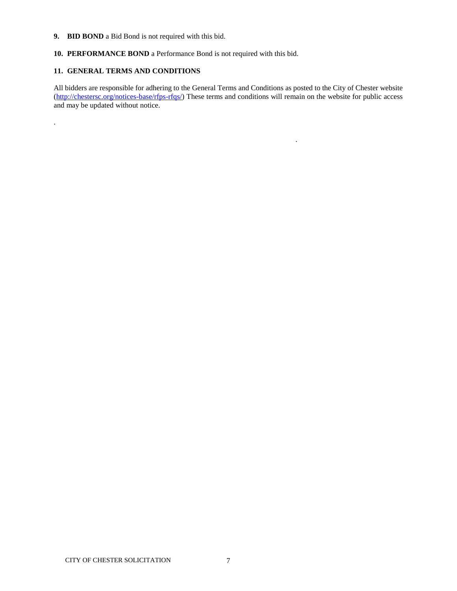- **9. BID BOND** a Bid Bond is not required with this bid.
- **10. PERFORMANCE BOND** a Performance Bond is not required with this bid.

#### **11. GENERAL TERMS AND CONDITIONS**

.

All bidders are responsible for adhering to the General Terms and Conditions as posted to the City of Chester website [\(http://chestersc.org/notices-base/rfps-rfqs/\)](http://chestersc.org/notices-base/rfps-rfqs/) These terms and conditions will remain on the website for public access and may be updated without notice.

.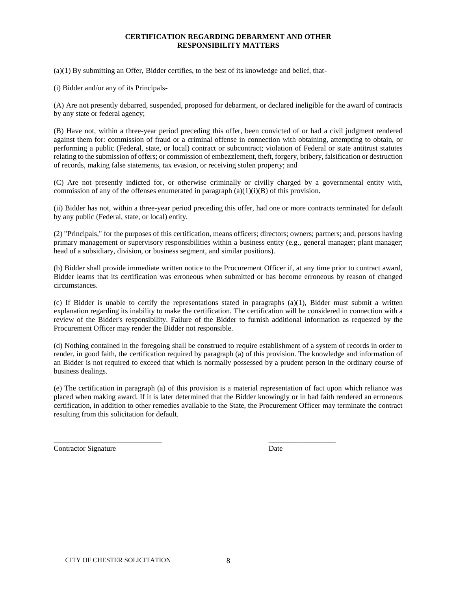#### **CERTIFICATION REGARDING DEBARMENT AND OTHER RESPONSIBILITY MATTERS**

(a)(1) By submitting an Offer, Bidder certifies, to the best of its knowledge and belief, that-

(i) Bidder and/or any of its Principals-

(A) Are not presently debarred, suspended, proposed for debarment, or declared ineligible for the award of contracts by any state or federal agency;

(B) Have not, within a three-year period preceding this offer, been convicted of or had a civil judgment rendered against them for: commission of fraud or a criminal offense in connection with obtaining, attempting to obtain, or performing a public (Federal, state, or local) contract or subcontract; violation of Federal or state antitrust statutes relating to the submission of offers; or commission of embezzlement, theft, forgery, bribery, falsification or destruction of records, making false statements, tax evasion, or receiving stolen property; and

(C) Are not presently indicted for, or otherwise criminally or civilly charged by a governmental entity with, commission of any of the offenses enumerated in paragraph  $(a)(1)(i)(B)$  of this provision.

(ii) Bidder has not, within a three-year period preceding this offer, had one or more contracts terminated for default by any public (Federal, state, or local) entity.

(2) "Principals," for the purposes of this certification, means officers; directors; owners; partners; and, persons having primary management or supervisory responsibilities within a business entity (e.g., general manager; plant manager; head of a subsidiary, division, or business segment, and similar positions).

(b) Bidder shall provide immediate written notice to the Procurement Officer if, at any time prior to contract award, Bidder learns that its certification was erroneous when submitted or has become erroneous by reason of changed circumstances.

(c) If Bidder is unable to certify the representations stated in paragraphs  $(a)(1)$ , Bidder must submit a written explanation regarding its inability to make the certification. The certification will be considered in connection with a review of the Bidder's responsibility. Failure of the Bidder to furnish additional information as requested by the Procurement Officer may render the Bidder not responsible.

(d) Nothing contained in the foregoing shall be construed to require establishment of a system of records in order to render, in good faith, the certification required by paragraph (a) of this provision. The knowledge and information of an Bidder is not required to exceed that which is normally possessed by a prudent person in the ordinary course of business dealings.

(e) The certification in paragraph (a) of this provision is a material representation of fact upon which reliance was placed when making award. If it is later determined that the Bidder knowingly or in bad faith rendered an erroneous certification, in addition to other remedies available to the State, the Procurement Officer may terminate the contract resulting from this solicitation for default.

\_\_\_\_\_\_\_\_\_\_\_\_\_\_\_\_\_\_\_\_\_\_\_\_\_\_\_\_\_ \_\_\_\_\_\_\_\_\_\_\_\_\_\_\_\_\_\_

Contractor Signature Date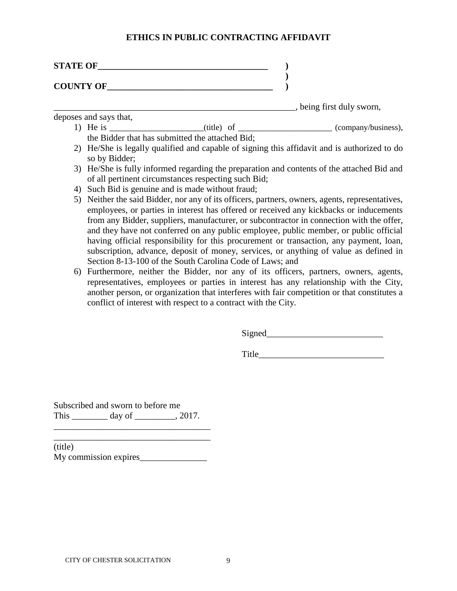### **ETHICS IN PUBLIC CONTRACTING AFFIDAVIT**

| <b>STATE OF</b>  |  |
|------------------|--|
|                  |  |
| <b>COUNTY OF</b> |  |

\_\_\_\_\_\_\_\_\_\_\_\_\_\_\_\_\_\_\_\_\_\_\_\_\_\_\_\_\_\_\_\_\_\_\_\_\_\_\_\_\_\_\_\_\_\_\_\_\_\_\_\_\_\_, being first duly sworn,

deposes and says that,

- 1) He is \_\_\_\_\_\_\_\_\_\_\_\_\_\_\_\_\_\_\_\_\_(title) of \_\_\_\_\_\_\_\_\_\_\_\_\_\_\_\_\_\_\_\_\_\_(company/business), the Bidder that has submitted the attached Bid;
- 2) He/She is legally qualified and capable of signing this affidavit and is authorized to do so by Bidder;
- 3) He/She is fully informed regarding the preparation and contents of the attached Bid and of all pertinent circumstances respecting such Bid;
- 4) Such Bid is genuine and is made without fraud;
- 5) Neither the said Bidder, nor any of its officers, partners, owners, agents, representatives, employees, or parties in interest has offered or received any kickbacks or inducements from any Bidder, suppliers, manufacturer, or subcontractor in connection with the offer, and they have not conferred on any public employee, public member, or public official having official responsibility for this procurement or transaction, any payment, loan, subscription, advance, deposit of money, services, or anything of value as defined in Section 8-13-100 of the South Carolina Code of Laws; and
- 6) Furthermore, neither the Bidder, nor any of its officers, partners, owners, agents, representatives, employees or parties in interest has any relationship with the City, another person, or organization that interferes with fair competition or that constitutes a conflict of interest with respect to a contract with the City.

Signed\_\_\_\_\_\_\_\_\_\_\_\_\_\_\_\_\_\_\_\_\_\_\_\_\_\_

Title\_\_\_\_\_\_\_\_\_\_\_\_\_\_\_\_\_\_\_\_\_\_\_\_\_\_\_\_

Subscribed and sworn to before me This day of \_\_\_\_\_\_\_\_, 2017.

\_\_\_\_\_\_\_\_\_\_\_\_\_\_\_\_\_\_\_\_\_\_\_\_\_\_\_\_\_\_\_\_\_\_\_ (title) My commission expires\_\_\_\_\_\_\_\_\_\_\_\_\_\_\_

\_\_\_\_\_\_\_\_\_\_\_\_\_\_\_\_\_\_\_\_\_\_\_\_\_\_\_\_\_\_\_\_\_\_\_